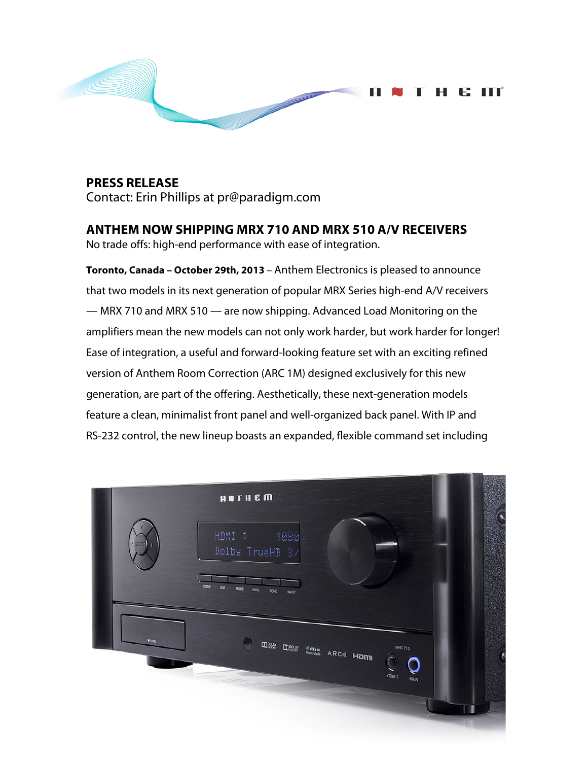

**PRESS RELEASE** Contact: Erin Phillips at pr@paradigm.com

**ANTHEM NOW SHIPPING MRX 710 AND MRX 510 A/V RECEIVERS** No trade offs: high-end performance with ease of integration.

**Toronto, Canada – October 29th, 2013** – Anthem Electronics is pleased to announce that two models in its next generation of popular MRX Series high-end A/V receivers — MRX 710 and MRX 510 — are now shipping. Advanced Load Monitoring on the amplifiers mean the new models can not only work harder, but work harder for longer! Ease of integration, a useful and forward-looking feature set with an exciting refined version of Anthem Room Correction (ARC 1M) designed exclusively for this new generation, are part of the offering. Aesthetically, these next-generation models feature a clean, minimalist front panel and well-organized back panel. With IP and RS-232 control, the new lineup boasts an expanded, flexible command set including

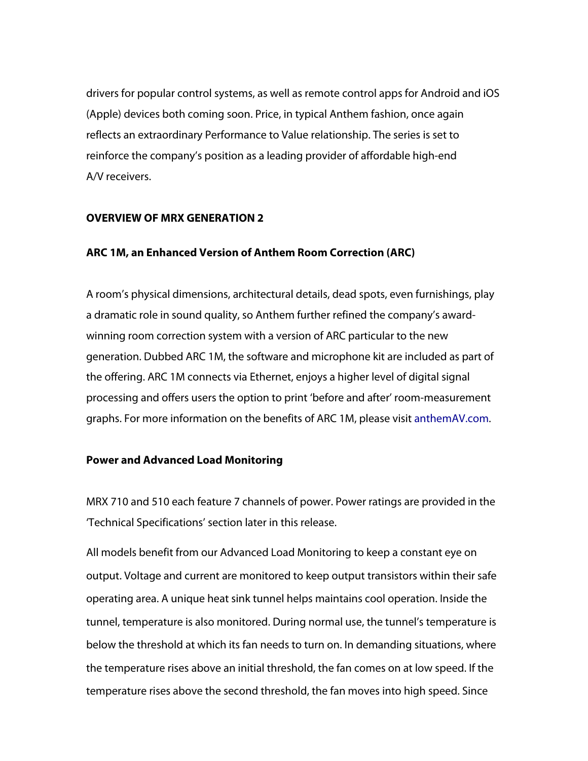drivers for popular control systems, as well as remote control apps for Android and iOS (Apple) devices both coming soon. Price, in typical Anthem fashion, once again reflects an extraordinary Performance to Value relationship. The series is set to reinforce the company's position as a leading provider of affordable high-end A/V receivers.

#### **OVERVIEW OF MRX GENERATION 2**

### **ARC 1M, an Enhanced Version of Anthem Room Correction (ARC)**

A room's physical dimensions, architectural details, dead spots, even furnishings, play a dramatic role in sound quality, so Anthem further refined the company's awardwinning room correction system with a version of ARC particular to the new generation. Dubbed ARC 1M, the software and microphone kit are included as part of the offering. ARC 1M connects via Ethernet, enjoys a higher level of digital signal processing and offers users the option to print 'before and after' room-measurement graphs. For more information on the benefits of ARC 1M, please visit anthemAV.com.

#### **Power and Advanced Load Monitoring**

MRX 710 and 510 each feature 7 channels of power. Power ratings are provided in the 'Technical Specifications' section later in this release.

All models benefit from our Advanced Load Monitoring to keep a constant eye on output. Voltage and current are monitored to keep output transistors within their safe operating area. A unique heat sink tunnel helps maintains cool operation. Inside the tunnel, temperature is also monitored. During normal use, the tunnel's temperature is below the threshold at which its fan needs to turn on. In demanding situations, where the temperature rises above an initial threshold, the fan comes on at low speed. If the temperature rises above the second threshold, the fan moves into high speed. Since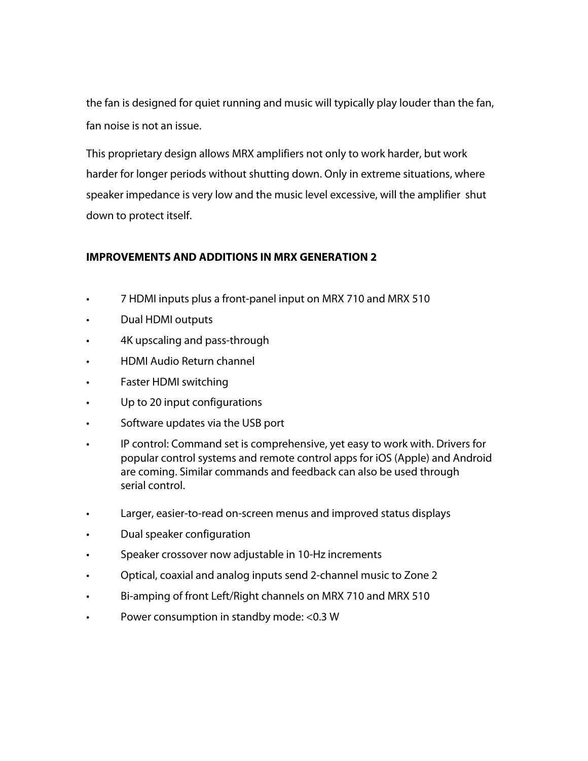the fan is designed for quiet running and music will typically play louder than the fan, fan noise is not an issue.

This proprietary design allows MRX amplifiers not only to work harder, but work harder for longer periods without shutting down. Only in extreme situations, where speaker impedance is very low and the music level excessive, will the amplifier shut down to protect itself.

## **IMPROVEMENTS AND ADDITIONS IN MRX GENERATION 2**

- 7 HDMI inputs plus a front-panel input on MRX 710 and MRX 510
- Dual HDMI outputs
- 4K upscaling and pass-through
- HDMI Audio Return channel
- Faster HDMI switching
- Up to 20 input configurations
- Software updates via the USB port
- IP control: Command set is comprehensive, yet easy to work with. Drivers for popular control systems and remote control apps for iOS (Apple) and Android are coming. Similar commands and feedback can also be used through serial control.
- Larger, easier-to-read on-screen menus and improved status displays
- Dual speaker configuration
- Speaker crossover now adjustable in 10-Hz increments
- Optical, coaxial and analog inputs send 2-channel music to Zone 2
- Bi-amping of front Left/Right channels on MRX 710 and MRX 510
- Power consumption in standby mode: <0.3 W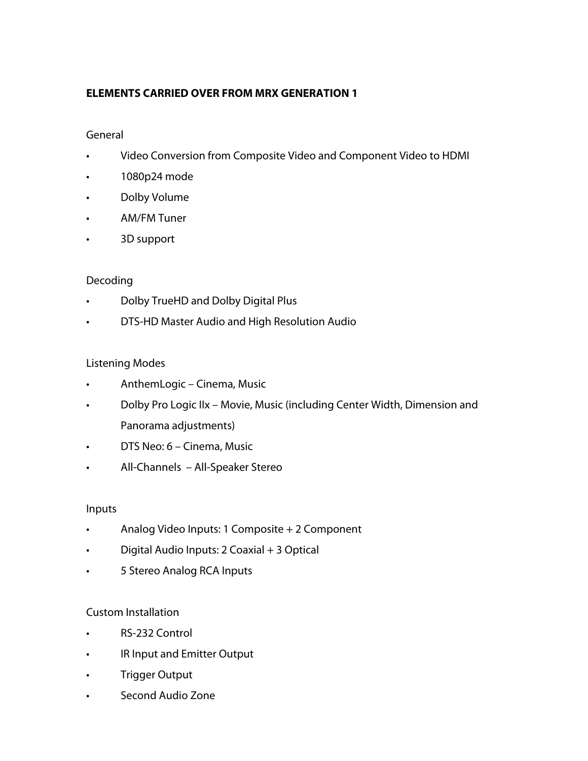# **ELEMENTS CARRIED OVER FROM MRX GENERATION 1**

### General

- Video Conversion from Composite Video and Component Video to HDMI
- 1080p24 mode
- Dolby Volume
- AM/FM Tuner
- 3D support

### Decoding

- Dolby TrueHD and Dolby Digital Plus
- DTS-HD Master Audio and High Resolution Audio

### Listening Modes

- AnthemLogic Cinema, Music
- Dolby Pro Logic IIx Movie, Music (including Center Width, Dimension and Panorama adjustments)
- DTS Neo: 6 Cinema, Music
- All-Channels All-Speaker Stereo

### Inputs

- Analog Video Inputs: 1 Composite + 2 Component
- Digital Audio Inputs: 2 Coaxial + 3 Optical
- 5 Stereo Analog RCA Inputs

### Custom Installation

- RS-232 Control
- IR Input and Emitter Output
- Trigger Output
- Second Audio Zone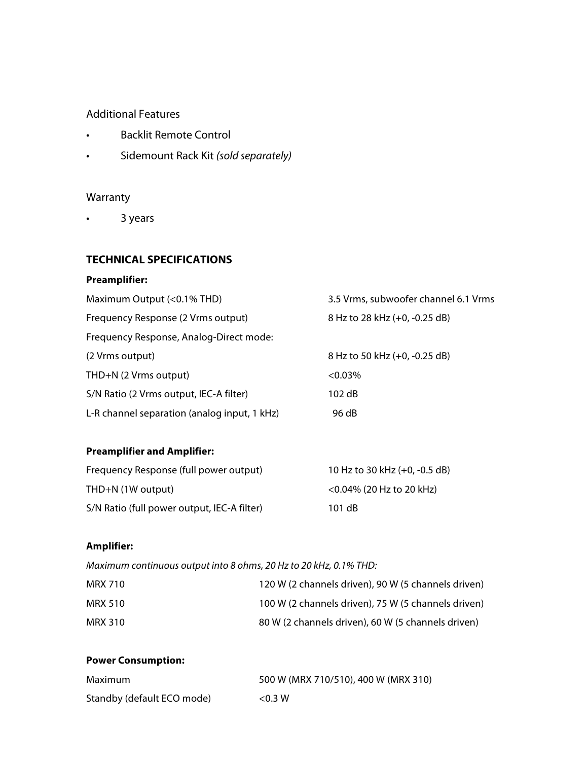### Additional Features

- Backlit Remote Control
- Sidemount Rack Kit *(sold separately)*

## Warranty

• 3 years

### **TECHNICAL SPECIFICATIONS**

#### **Preamplifier:**

| Maximum Output (<0.1% THD)                   | 3.5 Vrms, subwoofer channel 6.1 Vrms |
|----------------------------------------------|--------------------------------------|
| Frequency Response (2 Vrms output)           | 8 Hz to 28 kHz (+0, -0.25 dB)        |
| Frequency Response, Analog-Direct mode:      |                                      |
| (2 Vrms output)                              | 8 Hz to 50 kHz (+0, -0.25 dB)        |
| THD+N (2 Vrms output)                        | $<0.03\%$                            |
| S/N Ratio (2 Vrms output, IEC-A filter)      | 102 dB                               |
| L-R channel separation (analog input, 1 kHz) | 96 dB                                |

# **Preamplifier and Amplifier:**

| Frequency Response (full power output)      | 10 Hz to 30 kHz $(+0, -0.5$ dB) |
|---------------------------------------------|---------------------------------|
| THD+N (1W output)                           | $<$ 0.04% (20 Hz to 20 kHz)     |
| S/N Ratio (full power output, IEC-A filter) | 101 dB                          |

### **Amplifier:**

*Maximum continuous output into 8 ohms, 20 Hz to 20 kHz, 0.1% THD:*

| MRX 710 | 120 W (2 channels driven), 90 W (5 channels driven) |
|---------|-----------------------------------------------------|
| MRX 510 | 100 W (2 channels driven), 75 W (5 channels driven) |
| MRX 310 | 80 W (2 channels driven), 60 W (5 channels driven)  |

#### **Power Consumption:**

| Maximum                    | 500 W (MRX 710/510), 400 W (MRX 310) |
|----------------------------|--------------------------------------|
| Standby (default ECO mode) | < 0.3 W                              |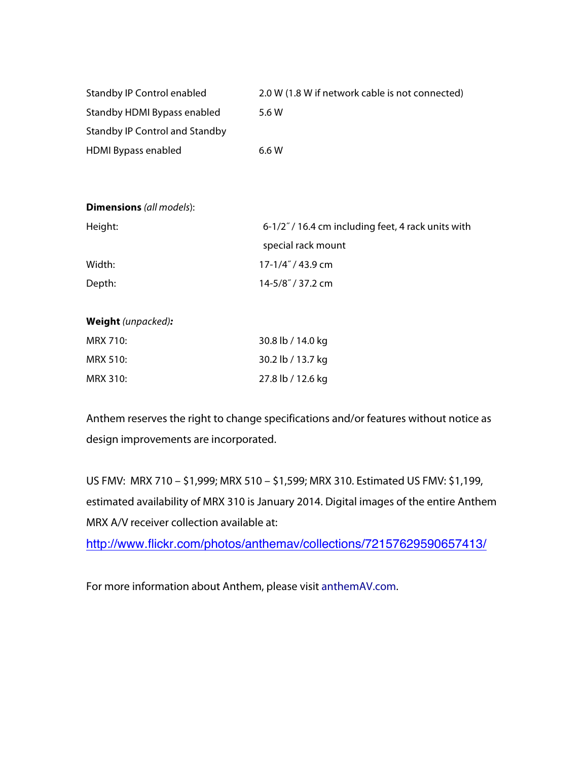| Standby IP Control enabled     | 2.0 W (1.8 W if network cable is not connected) |
|--------------------------------|-------------------------------------------------|
| Standby HDMI Bypass enabled    | 5.6 W                                           |
| Standby IP Control and Standby |                                                 |
| <b>HDMI Bypass enabled</b>     | 6.6 W                                           |

| <b>Dimensions</b> (all models): |                                                    |
|---------------------------------|----------------------------------------------------|
| Height:                         | 6-1/2" / 16.4 cm including feet, 4 rack units with |
|                                 | special rack mount                                 |
| Width:                          | 17-1/4" / 43.9 cm                                  |
| Depth:                          | 14-5/8"/37.2 cm                                    |
|                                 |                                                    |

#### **Weight** *(unpacked):*

| MRX 710: | 30.8 lb / 14.0 kg |
|----------|-------------------|
| MRX 510: | 30.2 lb / 13.7 kg |
| MRX 310: | 27.8 lb / 12.6 kg |

Anthem reserves the right to change specifications and/or features without notice as design improvements are incorporated.

US FMV: MRX 710 – \$1,999; MRX 510 – \$1,599; MRX 310. Estimated US FMV: \$1,199, estimated availability of MRX 310 is January 2014. Digital images of the entire Anthem MRX A/V receiver collection available at:

http://www.flickr.com/photos/anthemav/collections/72157629590657413/

For more information about Anthem, please visit anthemAV.com.